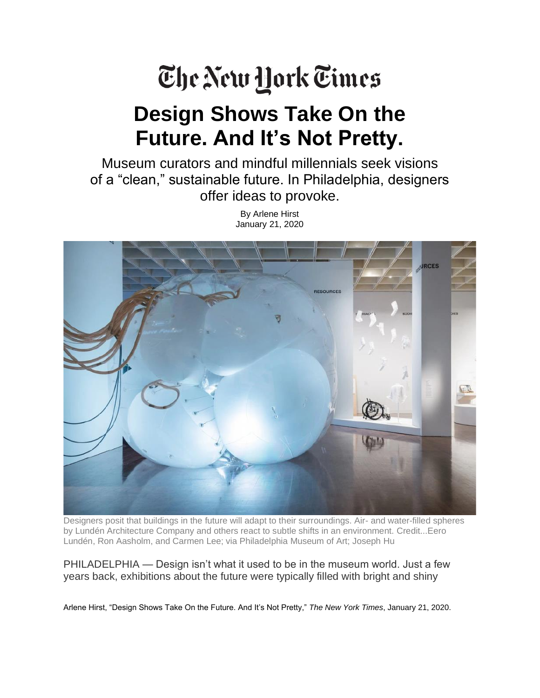## The New York Times

## **Design Shows Take On the Future. And It's Not Pretty.**

Museum curators and mindful millennials seek visions of a "clean," sustainable future. In Philadelphia, designers offer ideas to provoke.

> By Arlene Hirst January 21, 2020



Designers posit that buildings in the future will adapt to their surroundings. Air- and water-filled spheres by Lundén Architecture Company and others react to subtle shifts in an environment. Credit...Eero Lundén, Ron Aasholm, and Carmen Lee; via Philadelphia Museum of Art; Joseph Hu

PHILADELPHIA — Design isn't what it used to be in the museum world. Just a few years back, exhibitions about the future were typically filled with bright and shiny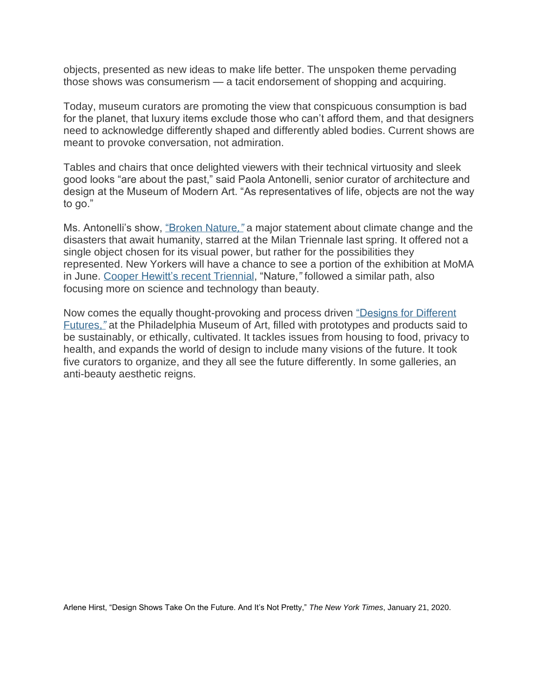objects, presented as new ideas to make life better. The unspoken theme pervading those shows was consumerism — a tacit endorsement of shopping and acquiring.

Today, museum curators are promoting the view that conspicuous consumption is bad for the planet, that luxury items exclude those who can't afford them, and that designers need to acknowledge differently shaped and differently abled bodies. Current shows are meant to provoke conversation, not admiration.

Tables and chairs that once delighted viewers with their technical virtuosity and sleek good looks "are about the past," said Paola Antonelli, senior curator of architecture and design at the Museum of Modern Art. "As representatives of life, objects are not the way to go."

Ms. Antonelli's show, ["Broken](https://www.youtube.com/watch?v=s4bjlLl8N34) Nature*[,"](https://www.youtube.com/watch?v=s4bjlLl8N34)* a major statement about climate change and the disasters that await humanity, starred at the Milan Triennale last spring. It offered not a single object chosen for its visual power, but rather for the possibilities they represented. New Yorkers will have a chance to see a portion of the exhibition at MoMA in June. Cooper Hewitt's recent [Triennial,](https://www.nytimes.com/2019/07/25/arts/design/nature-climate-change-cooper-hewitt-review.html) "Nature,*"* followed a similar path, also focusing more on science and technology than beauty.

Now comes the equally thought-provoking and process driven ["Designs](https://philamuseum.org/) for Different [Futures,](https://philamuseum.org/)*["](https://philamuseum.org/)* at the Philadelphia Museum of Art, filled with prototypes and products said to be sustainably, or ethically, cultivated. It tackles issues from housing to food, privacy to health, and expands the world of design to include many visions of the future. It took five curators to organize, and they all see the future differently. In some galleries, an anti-beauty aesthetic reigns.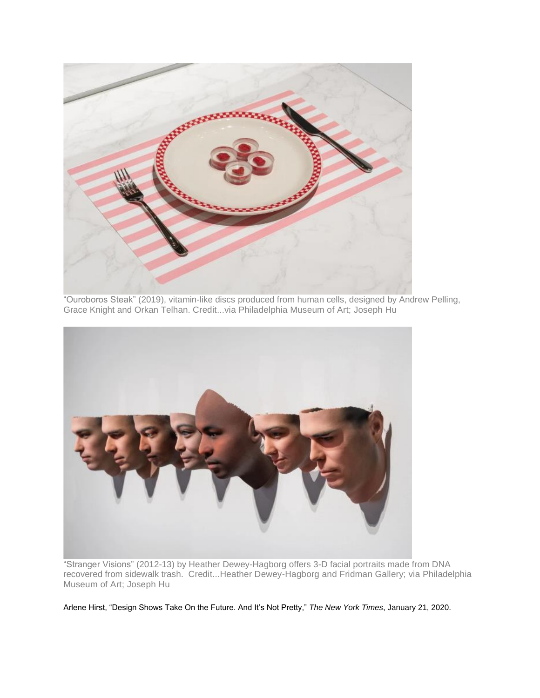

"Ouroboros Steak" (2019), vitamin-like discs produced from human cells, designed by Andrew Pelling, Grace Knight and Orkan Telhan. Credit...via Philadelphia Museum of Art; Joseph Hu



"Stranger Visions" (2012-13) by Heather Dewey-Hagborg offers 3-D facial portraits made from DNA recovered from sidewalk trash. Credit...Heather Dewey-Hagborg and Fridman Gallery; via Philadelphia Museum of Art; Joseph Hu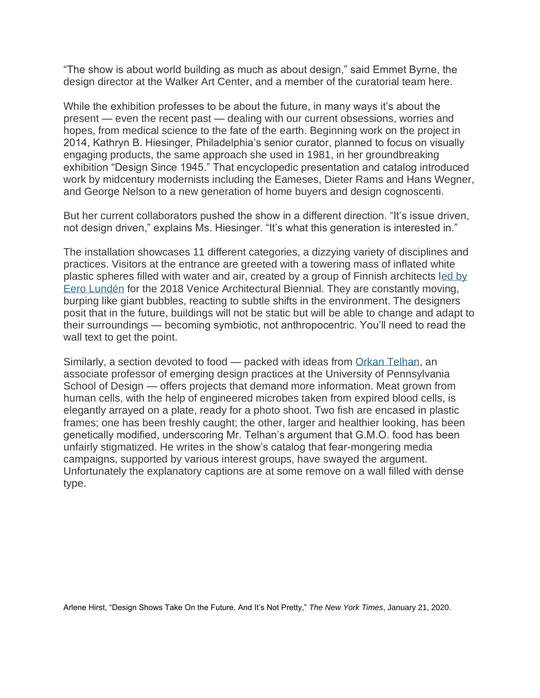"The show is about world building as much as about design," said Emmet Byrne, the design director at the Walker Art Center, and a member of the curatorial team here.

While the exhibition professes to be about the future, in many ways it's about the present — even the recent past — dealing with our current obsessions, worries and hopes, from medical science to the fate of the earth. Beginning work on the project in 2014, Kathryn B. Hiesinger, Philadelphia's senior curator, planned to focus on visually engaging products, the same approach she used in 1981, in her groundbreaking exhibition "Design Since 1945." That encyclopedic presentation and catalog introduced work by midcentury modernists including the Eameses, Dieter Rams and Hans Wegner, and George Nelson to a new generation of home buyers and design cognoscenti.

But her current collaborators pushed the show in a different direction. "It's issue driven, not design driven," explains Ms. Hiesinger. "It's what this generation is interested in."

The installation showcases 11 different categories, a dizzying variety of disciplines and practices. Visitors at the entrance are greeted with a towering mass of inflated white plastic spheres filled with water and air, created by a group of Finnish architects [led](https://www.lunden.co/) by Eero [Lundén](https://www.lunden.co/) for the 2018 Venice Architectural Biennial. They are constantly moving, burping like giant bubbles, reacting to subtle shifts in the environment. The designers posit that in the future, buildings will not be static but will be able to change and adapt to their surroundings — becoming symbiotic, not anthropocentric. You'll need to read the wall text to get the point.

Similarly, a section devoted to food — packed with ideas from Orkan [Telhan,](http://www.orkantelhan.com/) an associate professor of emerging design practices at the University of Pennsylvania School of Design — offers projects that demand more information. Meat grown from human cells, with the help of engineered microbes taken from expired blood cells, is elegantly arrayed on a plate, ready for a photo shoot. Two fish are encased in plastic frames; one has been freshly caught; the other, larger and healthier looking, has been genetically modified, underscoring Mr. Telhan's argument that G.M.O. food has been unfairly stigmatized. He writes in the show's catalog that fear-mongering media campaigns, supported by various interest groups, have swayed the argument. Unfortunately the explanatory captions are at some remove on a wall filled with dense type.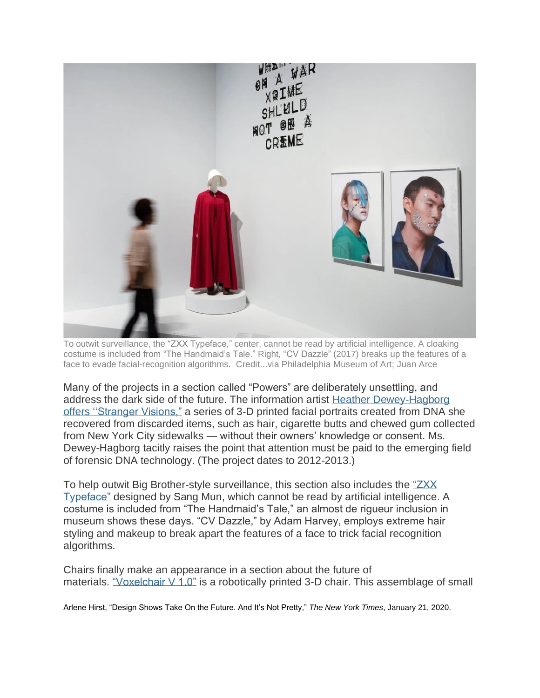

To outwit surveillance, the "ZXX Typeface," center, cannot be read by artificial intelligence. A cloaking costume is included from "The Handmaid's Tale." Right, "CV Dazzle" (2017) breaks up the features of a face to evade facial-recognition algorithms. Credit...via Philadelphia Museum of Art; Juan Arce

Many of the projects in a section called "Powers" are deliberately unsettling, and address the dark side of the future. The information artist Heather [Dewey-Hagborg](https://deweyhagborg.com/projects/stranger-visions) offers [''Stranger](https://deweyhagborg.com/projects/stranger-visions) Visions," a series of 3-D printed facial portraits created from DNA she recovered from discarded items, such as hair, cigarette butts and chewed gum collected from New York City sidewalks — without their owners' knowledge or consent. Ms. Dewey-Hagborg tacitly raises the point that attention must be paid to the emerging field of forensic DNA technology. (The project dates to 2012-2013.)

To help outwit Big Brother-style surveillance, this section also includes the ["ZXX](https://walkerart.org/magazine/sang-mun-defiant-typeface-nsa-privacy) [Typeface"](https://walkerart.org/magazine/sang-mun-defiant-typeface-nsa-privacy) designed by Sang Mun, which cannot be read by artificial intelligence. A costume is included from "The Handmaid's Tale," an almost de rigueur inclusion in museum shows these days. "CV Dazzle," by Adam Harvey, employs extreme hair styling and makeup to break apart the features of a face to trick facial recognition algorithms.

Chairs finally make an appearance in a section about the future of materials. ["Voxelchair](https://www.retsin.org/Voxel-Chair-1-0) V 1.0" is a robotically printed 3-D chair. This assemblage of small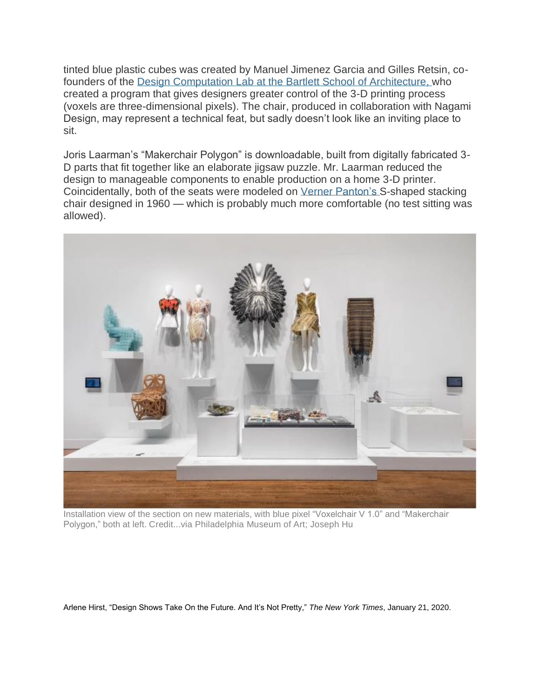tinted blue plastic cubes was created by Manuel Jimenez Garcia and Gilles Retsin, cofounders of the Design [Computation](https://designcomputationlab.org/about) Lab at the Bartlett School of Architecture, who created a program that gives designers greater control of the 3-D printing process (voxels are three-dimensional pixels). The chair, produced in collaboration with Nagami Design, may represent a technical feat, but sadly doesn't look like an inviting place to sit.

Joris Laarman's "Makerchair Polygon" is downloadable, built from digitally fabricated 3- D parts that fit together like an elaborate jigsaw puzzle. Mr. Laarman reduced the design to manageable components to enable production on a home 3-D printer. Coincidentally, both of the seats were modeled on Verner [Panton's](https://www.vitra.com/en-us/corporation/designer/details/verner-panton) S-shaped stacking chair designed in 1960 — which is probably much more comfortable (no test sitting was allowed).



Installation view of the section on new materials, with blue pixel "Voxelchair V 1.0" and "Makerchair Polygon," both at left. Credit...via Philadelphia Museum of Art; Joseph Hu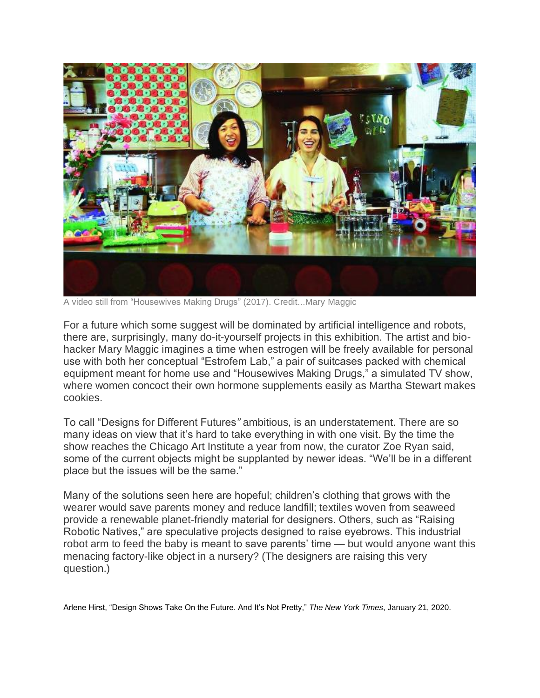

A video still from "Housewives Making Drugs" (2017). Credit...Mary Maggic

For a future which some suggest will be dominated by artificial intelligence and robots, there are, surprisingly, many do-it-yourself projects in this exhibition. The artist and biohacker Mary Maggic imagines a time when estrogen will be freely available for personal use with both her conceptual "Estrofem Lab," a pair of suitcases packed with chemical equipment meant for home use and "Housewives Making Drugs," a simulated TV show, where women concoct their own hormone supplements easily as Martha Stewart makes cookies.

To call "Designs for Different Futures*"* ambitious, is an understatement. There are so many ideas on view that it's hard to take everything in with one visit. By the time the show reaches the Chicago Art Institute a year from now, the curator Zoe Ryan said, some of the current objects might be supplanted by newer ideas. "We'll be in a different place but the issues will be the same."

Many of the solutions seen here are hopeful; children's clothing that grows with the wearer would save parents money and reduce landfill; textiles woven from seaweed provide a renewable planet-friendly material for designers. Others, such as "Raising Robotic Natives," are speculative projects designed to raise eyebrows. This industrial robot arm to feed the baby is meant to save parents' time — but would anyone want this menacing factory-like object in a nursery? (The designers are raising this very question.)